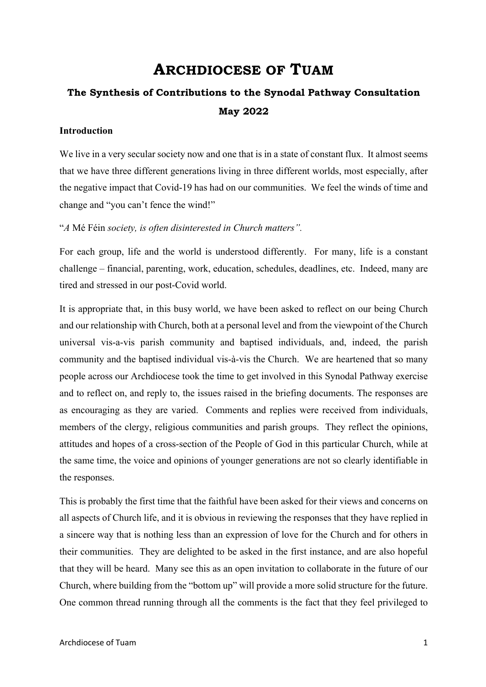## **ARCHDIOCESE OF TUAM**

# **The Synthesis of Contributions to the Synodal Pathway Consultation May 2022**

#### **Introduction**

We live in a very secular society now and one that is in a state of constant flux. It almost seems that we have three different generations living in three different worlds, most especially, after the negative impact that Covid-19 has had on our communities. We feel the winds of time and change and "you can't fence the wind!"

"*A* Mé Féin *society, is often disinterested in Church matters".*

For each group, life and the world is understood differently. For many, life is a constant challenge – financial, parenting, work, education, schedules, deadlines, etc. Indeed, many are tired and stressed in our post-Covid world.

It is appropriate that, in this busy world, we have been asked to reflect on our being Church and our relationship with Church, both at a personal level and from the viewpoint of the Church universal vis-a-vis parish community and baptised individuals, and, indeed, the parish community and the baptised individual vis-à-vis the Church. We are heartened that so many people across our Archdiocese took the time to get involved in this Synodal Pathway exercise and to reflect on, and reply to, the issues raised in the briefing documents. The responses are as encouraging as they are varied. Comments and replies were received from individuals, members of the clergy, religious communities and parish groups. They reflect the opinions, attitudes and hopes of a cross-section of the People of God in this particular Church, while at the same time, the voice and opinions of younger generations are not so clearly identifiable in the responses.

This is probably the first time that the faithful have been asked for their views and concerns on all aspects of Church life, and it is obvious in reviewing the responses that they have replied in a sincere way that is nothing less than an expression of love for the Church and for others in their communities. They are delighted to be asked in the first instance, and are also hopeful that they will be heard. Many see this as an open invitation to collaborate in the future of our Church, where building from the "bottom up" will provide a more solid structure for the future. One common thread running through all the comments is the fact that they feel privileged to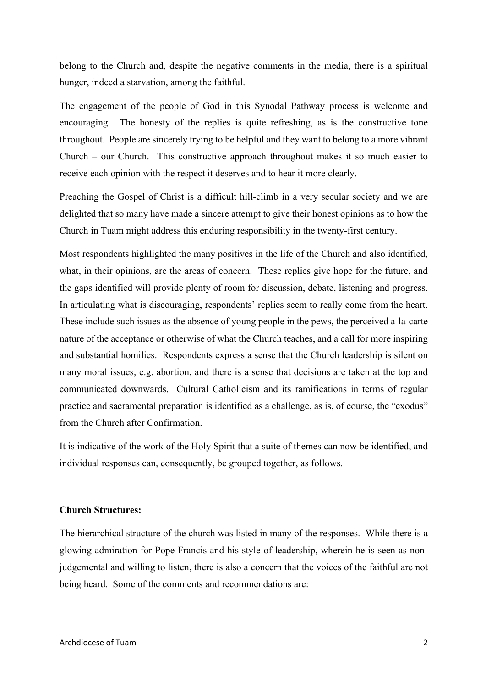belong to the Church and, despite the negative comments in the media, there is a spiritual hunger, indeed a starvation, among the faithful.

The engagement of the people of God in this Synodal Pathway process is welcome and encouraging. The honesty of the replies is quite refreshing, as is the constructive tone throughout. People are sincerely trying to be helpful and they want to belong to a more vibrant Church – our Church. This constructive approach throughout makes it so much easier to receive each opinion with the respect it deserves and to hear it more clearly.

Preaching the Gospel of Christ is a difficult hill-climb in a very secular society and we are delighted that so many have made a sincere attempt to give their honest opinions as to how the Church in Tuam might address this enduring responsibility in the twenty-first century.

Most respondents highlighted the many positives in the life of the Church and also identified, what, in their opinions, are the areas of concern. These replies give hope for the future, and the gaps identified will provide plenty of room for discussion, debate, listening and progress. In articulating what is discouraging, respondents' replies seem to really come from the heart. These include such issues as the absence of young people in the pews, the perceived a-la-carte nature of the acceptance or otherwise of what the Church teaches, and a call for more inspiring and substantial homilies. Respondents express a sense that the Church leadership is silent on many moral issues, e.g. abortion, and there is a sense that decisions are taken at the top and communicated downwards. Cultural Catholicism and its ramifications in terms of regular practice and sacramental preparation is identified as a challenge, as is, of course, the "exodus" from the Church after Confirmation.

It is indicative of the work of the Holy Spirit that a suite of themes can now be identified, and individual responses can, consequently, be grouped together, as follows.

#### **Church Structures:**

The hierarchical structure of the church was listed in many of the responses. While there is a glowing admiration for Pope Francis and his style of leadership, wherein he is seen as nonjudgemental and willing to listen, there is also a concern that the voices of the faithful are not being heard. Some of the comments and recommendations are: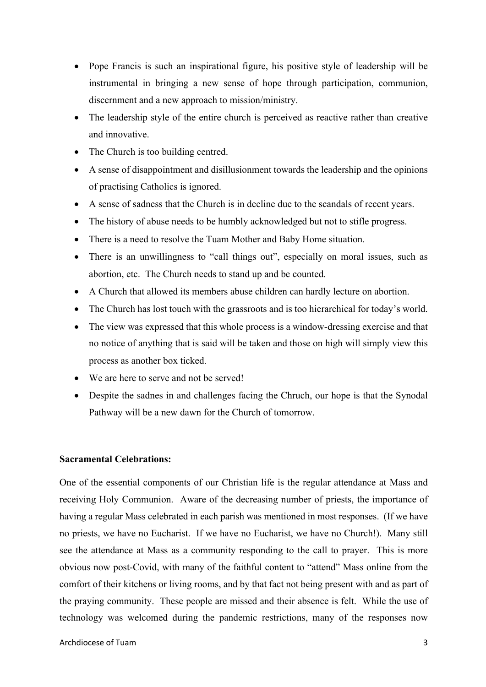- Pope Francis is such an inspirational figure, his positive style of leadership will be instrumental in bringing a new sense of hope through participation, communion, discernment and a new approach to mission/ministry.
- The leadership style of the entire church is perceived as reactive rather than creative and innovative.
- The Church is too building centred.
- A sense of disappointment and disillusionment towards the leadership and the opinions of practising Catholics is ignored.
- A sense of sadness that the Church is in decline due to the scandals of recent years.
- The history of abuse needs to be humbly acknowledged but not to stifle progress.
- There is a need to resolve the Tuam Mother and Baby Home situation.
- There is an unwillingness to "call things out", especially on moral issues, such as abortion, etc. The Church needs to stand up and be counted.
- A Church that allowed its members abuse children can hardly lecture on abortion.
- The Church has lost touch with the grassroots and is too hierarchical for today's world.
- The view was expressed that this whole process is a window-dressing exercise and that no notice of anything that is said will be taken and those on high will simply view this process as another box ticked.
- We are here to serve and not be served!
- Despite the sadnes in and challenges facing the Chruch, our hope is that the Synodal Pathway will be a new dawn for the Church of tomorrow.

#### **Sacramental Celebrations:**

One of the essential components of our Christian life is the regular attendance at Mass and receiving Holy Communion. Aware of the decreasing number of priests, the importance of having a regular Mass celebrated in each parish was mentioned in most responses. (If we have no priests, we have no Eucharist. If we have no Eucharist, we have no Church!). Many still see the attendance at Mass as a community responding to the call to prayer. This is more obvious now post-Covid, with many of the faithful content to "attend" Mass online from the comfort of their kitchens or living rooms, and by that fact not being present with and as part of the praying community. These people are missed and their absence is felt. While the use of technology was welcomed during the pandemic restrictions, many of the responses now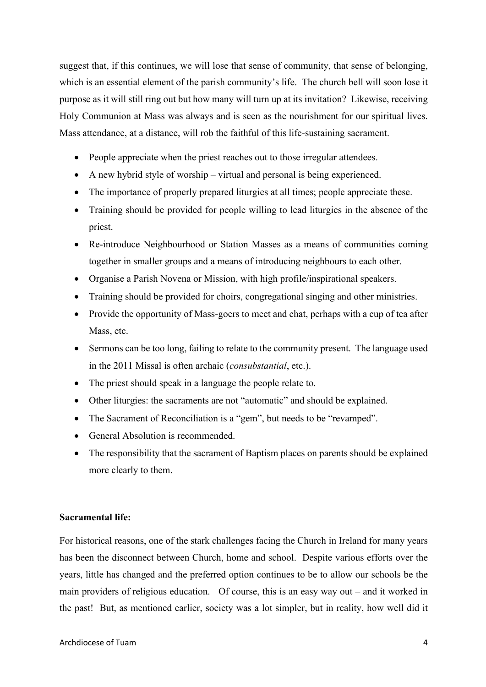suggest that, if this continues, we will lose that sense of community, that sense of belonging, which is an essential element of the parish community's life. The church bell will soon lose it purpose as it will still ring out but how many will turn up at its invitation? Likewise, receiving Holy Communion at Mass was always and is seen as the nourishment for our spiritual lives. Mass attendance, at a distance, will rob the faithful of this life-sustaining sacrament.

- People appreciate when the priest reaches out to those irregular attendees.
- A new hybrid style of worship virtual and personal is being experienced.
- The importance of properly prepared liturgies at all times; people appreciate these.
- Training should be provided for people willing to lead liturgies in the absence of the priest.
- Re-introduce Neighbourhood or Station Masses as a means of communities coming together in smaller groups and a means of introducing neighbours to each other.
- Organise a Parish Novena or Mission, with high profile/inspirational speakers.
- Training should be provided for choirs, congregational singing and other ministries.
- Provide the opportunity of Mass-goers to meet and chat, perhaps with a cup of tea after Mass, etc.
- Sermons can be too long, failing to relate to the community present. The language used in the 2011 Missal is often archaic (*consubstantial*, etc.).
- The priest should speak in a language the people relate to.
- Other liturgies: the sacraments are not "automatic" and should be explained.
- The Sacrament of Reconciliation is a "gem", but needs to be "revamped".
- General Absolution is recommended
- The responsibility that the sacrament of Baptism places on parents should be explained more clearly to them.

#### **Sacramental life:**

For historical reasons, one of the stark challenges facing the Church in Ireland for many years has been the disconnect between Church, home and school. Despite various efforts over the years, little has changed and the preferred option continues to be to allow our schools be the main providers of religious education. Of course, this is an easy way out – and it worked in the past! But, as mentioned earlier, society was a lot simpler, but in reality, how well did it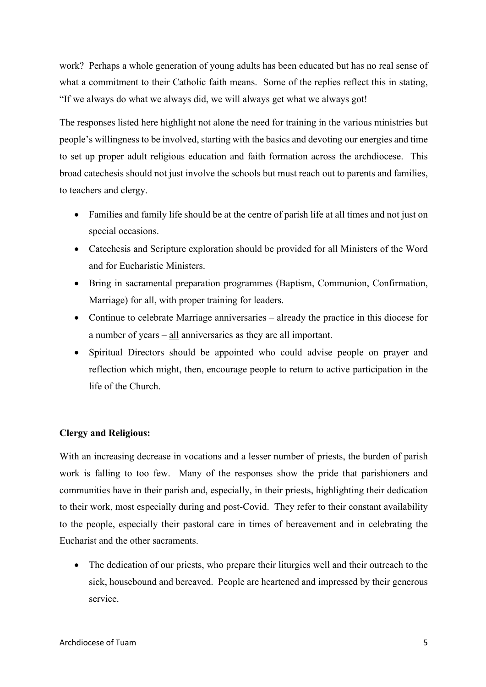work? Perhaps a whole generation of young adults has been educated but has no real sense of what a commitment to their Catholic faith means. Some of the replies reflect this in stating, "If we always do what we always did, we will always get what we always got!

The responses listed here highlight not alone the need for training in the various ministries but people's willingness to be involved, starting with the basics and devoting our energies and time to set up proper adult religious education and faith formation across the archdiocese. This broad catechesis should not just involve the schools but must reach out to parents and families, to teachers and clergy.

- Families and family life should be at the centre of parish life at all times and not just on special occasions.
- Catechesis and Scripture exploration should be provided for all Ministers of the Word and for Eucharistic Ministers.
- Bring in sacramental preparation programmes (Baptism, Communion, Confirmation, Marriage) for all, with proper training for leaders.
- Continue to celebrate Marriage anniversaries already the practice in this diocese for a number of years  $-\underline{\text{all}}$  anniversaries as they are all important.
- Spiritual Directors should be appointed who could advise people on prayer and reflection which might, then, encourage people to return to active participation in the life of the Church.

## **Clergy and Religious:**

With an increasing decrease in vocations and a lesser number of priests, the burden of parish work is falling to too few. Many of the responses show the pride that parishioners and communities have in their parish and, especially, in their priests, highlighting their dedication to their work, most especially during and post-Covid. They refer to their constant availability to the people, especially their pastoral care in times of bereavement and in celebrating the Eucharist and the other sacraments.

• The dedication of our priests, who prepare their liturgies well and their outreach to the sick, housebound and bereaved. People are heartened and impressed by their generous service.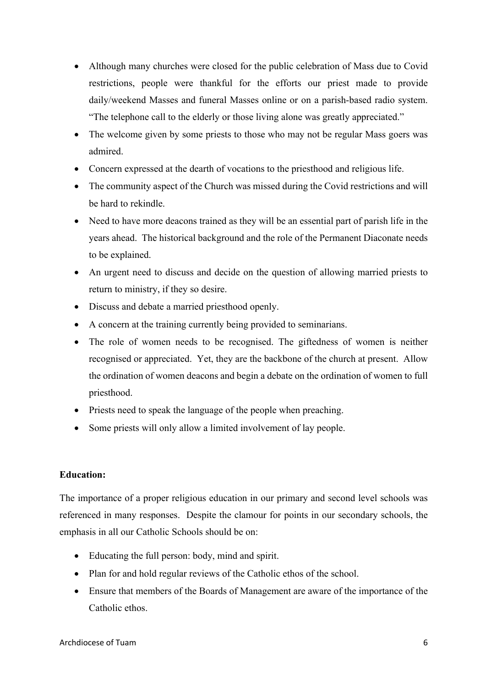- Although many churches were closed for the public celebration of Mass due to Covid restrictions, people were thankful for the efforts our priest made to provide daily/weekend Masses and funeral Masses online or on a parish-based radio system. "The telephone call to the elderly or those living alone was greatly appreciated."
- The welcome given by some priests to those who may not be regular Mass goers was admired.
- Concern expressed at the dearth of vocations to the priesthood and religious life.
- The community aspect of the Church was missed during the Covid restrictions and will be hard to rekindle.
- Need to have more deacons trained as they will be an essential part of parish life in the years ahead. The historical background and the role of the Permanent Diaconate needs to be explained.
- An urgent need to discuss and decide on the question of allowing married priests to return to ministry, if they so desire.
- Discuss and debate a married priesthood openly.
- A concern at the training currently being provided to seminarians.
- The role of women needs to be recognised. The giftedness of women is neither recognised or appreciated. Yet, they are the backbone of the church at present. Allow the ordination of women deacons and begin a debate on the ordination of women to full priesthood.
- Priests need to speak the language of the people when preaching.
- Some priests will only allow a limited involvement of lay people.

## **Education:**

The importance of a proper religious education in our primary and second level schools was referenced in many responses. Despite the clamour for points in our secondary schools, the emphasis in all our Catholic Schools should be on:

- Educating the full person: body, mind and spirit.
- Plan for and hold regular reviews of the Catholic ethos of the school.
- Ensure that members of the Boards of Management are aware of the importance of the Catholic ethos.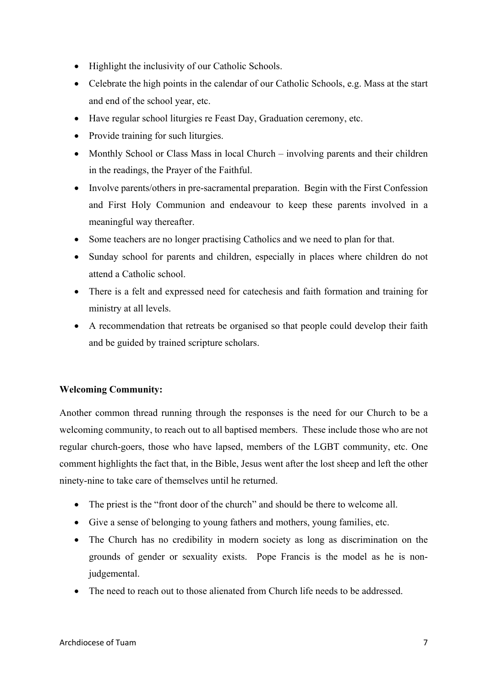- Highlight the inclusivity of our Catholic Schools.
- Celebrate the high points in the calendar of our Catholic Schools, e.g. Mass at the start and end of the school year, etc.
- Have regular school liturgies re Feast Day, Graduation ceremony, etc.
- Provide training for such liturgies.
- Monthly School or Class Mass in local Church involving parents and their children in the readings, the Prayer of the Faithful.
- Involve parents/others in pre-sacramental preparation. Begin with the First Confession and First Holy Communion and endeavour to keep these parents involved in a meaningful way thereafter.
- Some teachers are no longer practising Catholics and we need to plan for that.
- Sunday school for parents and children, especially in places where children do not attend a Catholic school.
- There is a felt and expressed need for catechesis and faith formation and training for ministry at all levels.
- A recommendation that retreats be organised so that people could develop their faith and be guided by trained scripture scholars.

## **Welcoming Community:**

Another common thread running through the responses is the need for our Church to be a welcoming community, to reach out to all baptised members. These include those who are not regular church-goers, those who have lapsed, members of the LGBT community, etc. One comment highlights the fact that, in the Bible, Jesus went after the lost sheep and left the other ninety-nine to take care of themselves until he returned.

- The priest is the "front door of the church" and should be there to welcome all.
- Give a sense of belonging to young fathers and mothers, young families, etc.
- The Church has no credibility in modern society as long as discrimination on the grounds of gender or sexuality exists. Pope Francis is the model as he is nonjudgemental.
- The need to reach out to those alienated from Church life needs to be addressed.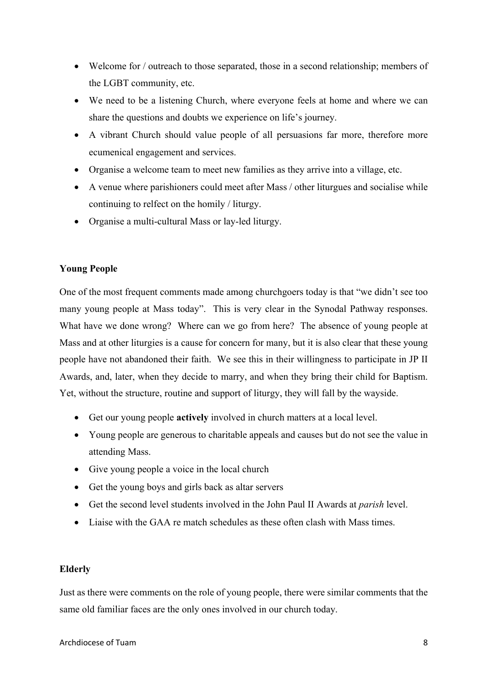- Welcome for / outreach to those separated, those in a second relationship; members of the LGBT community, etc.
- We need to be a listening Church, where everyone feels at home and where we can share the questions and doubts we experience on life's journey.
- A vibrant Church should value people of all persuasions far more, therefore more ecumenical engagement and services.
- Organise a welcome team to meet new families as they arrive into a village, etc.
- A venue where parishioners could meet after Mass / other liturgues and socialise while continuing to relfect on the homily / liturgy.
- Organise a multi-cultural Mass or lay-led liturgy.

## **Young People**

One of the most frequent comments made among churchgoers today is that "we didn't see too many young people at Mass today". This is very clear in the Synodal Pathway responses. What have we done wrong? Where can we go from here? The absence of young people at Mass and at other liturgies is a cause for concern for many, but it is also clear that these young people have not abandoned their faith. We see this in their willingness to participate in JP II Awards, and, later, when they decide to marry, and when they bring their child for Baptism. Yet, without the structure, routine and support of liturgy, they will fall by the wayside.

- Get our young people **actively** involved in church matters at a local level.
- Young people are generous to charitable appeals and causes but do not see the value in attending Mass.
- Give young people a voice in the local church
- Get the young boys and girls back as altar servers
- Get the second level students involved in the John Paul II Awards at *parish* level.
- Liaise with the GAA re match schedules as these often clash with Mass times.

## **Elderly**

Just as there were comments on the role of young people, there were similar comments that the same old familiar faces are the only ones involved in our church today.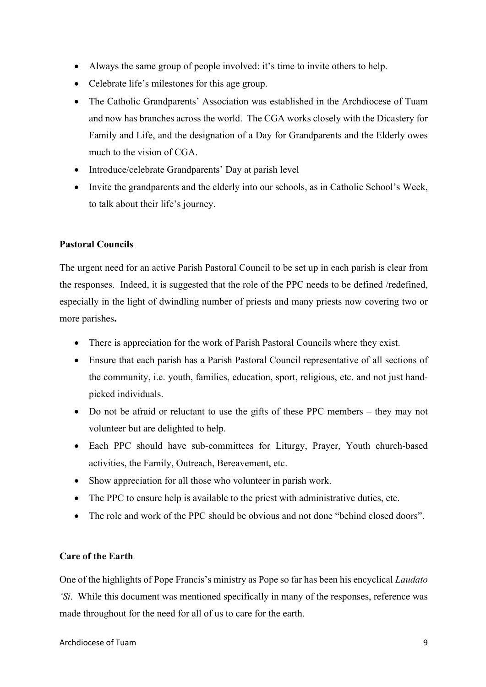- Always the same group of people involved: it's time to invite others to help.
- Celebrate life's milestones for this age group.
- The Catholic Grandparents' Association was established in the Archdiocese of Tuam and now has branches across the world. The CGA works closely with the Dicastery for Family and Life, and the designation of a Day for Grandparents and the Elderly owes much to the vision of CGA.
- Introduce/celebrate Grandparents' Day at parish level
- Invite the grandparents and the elderly into our schools, as in Catholic School's Week, to talk about their life's journey.

## **Pastoral Councils**

The urgent need for an active Parish Pastoral Council to be set up in each parish is clear from the responses. Indeed, it is suggested that the role of the PPC needs to be defined /redefined, especially in the light of dwindling number of priests and many priests now covering two or more parishes**.** 

- There is appreciation for the work of Parish Pastoral Councils where they exist.
- Ensure that each parish has a Parish Pastoral Council representative of all sections of the community, i.e. youth, families, education, sport, religious, etc. and not just handpicked individuals.
- Do not be afraid or reluctant to use the gifts of these PPC members they may not volunteer but are delighted to help.
- Each PPC should have sub-committees for Liturgy, Prayer, Youth church-based activities, the Family, Outreach, Bereavement, etc.
- Show appreciation for all those who volunteer in parish work.
- The PPC to ensure help is available to the priest with administrative duties, etc.
- The role and work of the PPC should be obvious and not done "behind closed doors".

## **Care of the Earth**

One of the highlights of Pope Francis's ministry as Pope so far has been his encyclical *Laudato 'Si*. While this document was mentioned specifically in many of the responses, reference was made throughout for the need for all of us to care for the earth.